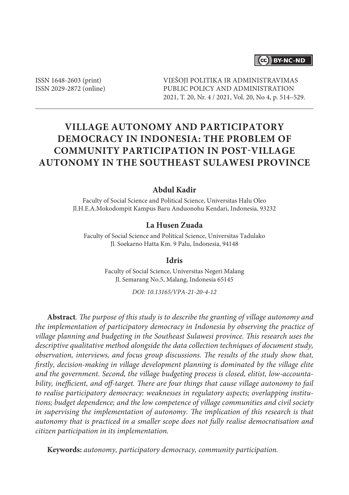### (cc) BY-NC-ND

ISSN 1648-2603 (print) ISSN 2029-2872 (online) VIEŠOJI POLITIKA IR ADMINISTRAVIMAS PUBLIC POLICY AND ADMINISTRATION 2021, T. 20, Nr. 4 / 2021, Vol. 20, No 4, p. 514–529.

# **VILLAGE AUTONOMY AND PARTICIPATORY DEMOCRACY IN INDONESIA: THE PROBLEM OF COMMUNITY PARTICIPATION IN POST-VILLAGE AUTONOMY IN THE SOUTHEAST SULAWESI PROVINCE**

#### **Abdul Kadir**

Faculty of Social Science and Political Science, Universitas Halu Oleo Jl.H.E.A.Mokodompit Kampus Baru Anduonohu Kendari, Indonesia, 93232

#### **La Husen Zuada**

Faculty of Social Science and Political Science, Universitas Tadulako Jl. Soekarno Hatta Km. 9 Palu, Indonesia, 94148

#### **Idris**

Faculty of Social Science, Universitas Negeri Malang Jl. Semarang No.5, Malang, Indonesia 65145

*DOI: 10.13165/VPA-21-20-4-12*

**Abstract***. The purpose of this study is to describe the granting of village autonomy and the implementation of participatory democracy in Indonesia by observing the practice of village planning and budgeting in the Southeast Sulawesi province. This research uses the descriptive qualitative method alongside the data collection techniques of document study, observation, interviews, and focus group discussions. The results of the study show that, firstly, decision-making in village development planning is dominated by the village elite and the government. Second, the village budgeting process is closed, elitist, low-accounta*bility, inefficient, and off-target. There are four things that cause village autonomy to fail *to realise participatory democracy: weaknesses in regulatory aspects; overlapping institutions; budget dependence; and the low competence of village communities and civil society*  in supervising the implementation of autonomy. The implication of this research is that *autonomy that is practiced in a smaller scope does not fully realise democratisation and citizen participation in its implementation.*

**Keywords:** *autonomy, participatory democracy, community participation.*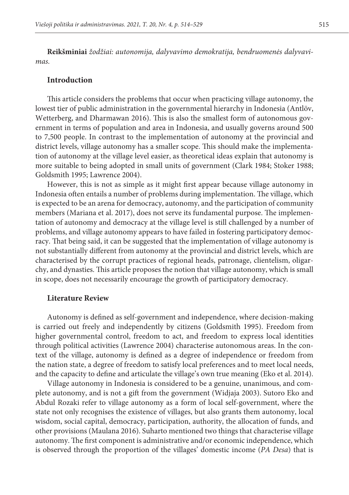**Reikšminiai** *žodžiai: autonomija, dalyvavimo demokratija, bendruomenės dalyvavimas.*

#### **Introduction**

This article considers the problems that occur when practicing village autonomy, the lowest tier of public administration in the governmental hierarchy in Indonesia (Antlöv, Wetterberg, and Dharmawan 2016). This is also the smallest form of autonomous government in terms of population and area in Indonesia, and usually governs around 500 to 7,500 people. In contrast to the implementation of autonomy at the provincial and district levels, village autonomy has a smaller scope. This should make the implementation of autonomy at the village level easier, as theoretical ideas explain that autonomy is more suitable to being adopted in small units of government (Clark 1984; Stoker 1988; Goldsmith 1995; Lawrence 2004).

However, this is not as simple as it might first appear because village autonomy in Indonesia often entails a number of problems during implementation. The village, which is expected to be an arena for democracy, autonomy, and the participation of community members (Mariana et al. 2017), does not serve its fundamental purpose. The implementation of autonomy and democracy at the village level is still challenged by a number of problems, and village autonomy appears to have failed in fostering participatory democracy. That being said, it can be suggested that the implementation of village autonomy is not substantially different from autonomy at the provincial and district levels, which are characterised by the corrupt practices of regional heads, patronage, clientelism, oligarchy, and dynasties. This article proposes the notion that village autonomy, which is small in scope, does not necessarily encourage the growth of participatory democracy.

#### **Literature Review**

Autonomy is defined as self-government and independence, where decision-making is carried out freely and independently by citizens (Goldsmith 1995). Freedom from higher governmental control, freedom to act, and freedom to express local identities through political activities (Lawrence 2004) characterise autonomous areas. In the context of the village, autonomy is defined as a degree of independence or freedom from the nation state, a degree of freedom to satisfy local preferences and to meet local needs, and the capacity to define and articulate the village's own true meaning (Eko et al. 2014).

Village autonomy in Indonesia is considered to be a genuine, unanimous, and complete autonomy, and is not a gift from the government (Widjaja 2003). Sutoro Eko and Abdul Rozaki refer to village autonomy as a form of local self-government, where the state not only recognises the existence of villages, but also grants them autonomy, local wisdom, social capital, democracy, participation, authority, the allocation of funds, and other provisions (Maulana 2016). Suharto mentioned two things that characterise village autonomy. The first component is administrative and/or economic independence, which is observed through the proportion of the villages' domestic income (*PA Desa*) that is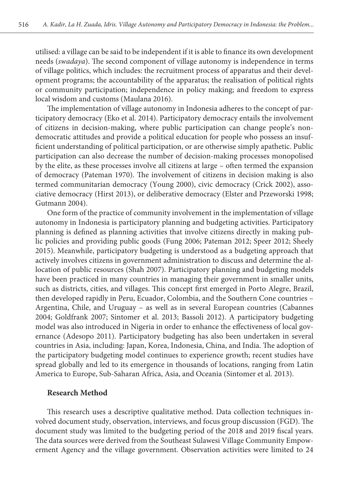utilised: a village can be said to be independent if it is able to finance its own development needs (*swadaya*). The second component of village autonomy is independence in terms of village politics, which includes: the recruitment process of apparatus and their development programs; the accountability of the apparatus; the realisation of political rights or community participation; independence in policy making; and freedom to express local wisdom and customs (Maulana 2016).

The implementation of village autonomy in Indonesia adheres to the concept of participatory democracy (Eko et al. 2014). Participatory democracy entails the involvement of citizens in decision-making, where public participation can change people's nondemocratic attitudes and provide a political education for people who possess an insufficient understanding of political participation, or are otherwise simply apathetic. Public participation can also decrease the number of decision-making processes monopolised by the elite, as these processes involve all citizens at large – often termed the expansion of democracy (Pateman 1970). The involvement of citizens in decision making is also termed communitarian democracy (Young 2000), civic democracy (Crick 2002), associative democracy (Hirst 2013), or deliberative democracy (Elster and Przeworski 1998; Gutmann 2004).

One form of the practice of community involvement in the implementation of village autonomy in Indonesia is participatory planning and budgeting activities. Participatory planning is defined as planning activities that involve citizens directly in making public policies and providing public goods (Fung 2006; Pateman 2012; Speer 2012; Sheely 2015). Meanwhile, participatory budgeting is understood as a budgeting approach that actively involves citizens in government administration to discuss and determine the allocation of public resources (Shah 2007). Participatory planning and budgeting models have been practiced in many countries in managing their government in smaller units, such as districts, cities, and villages. This concept first emerged in Porto Alegre, Brazil, then developed rapidly in Peru, Ecuador, Colombia, and the Southern Cone countries – Argentina, Chile, and Uruguay – as well as in several European countries (Cabannes 2004; Goldfrank 2007; Sintomer et al. 2013; Bassoli 2012). A participatory budgeting model was also introduced in Nigeria in order to enhance the effectiveness of local governance (Adesopo 2011). Participatory budgeting has also been undertaken in several countries in Asia, including: Japan, Korea, Indonesia, China, and India. The adoption of the participatory budgeting model continues to experience growth; recent studies have spread globally and led to its emergence in thousands of locations, ranging from Latin America to Europe, Sub-Saharan Africa, Asia, and Oceania (Sintomer et al. 2013).

#### **Research Method**

This research uses a descriptive qualitative method. Data collection techniques involved document study, observation, interviews, and focus group discussion (FGD). The document study was limited to the budgeting period of the 2018 and 2019 fiscal years. The data sources were derived from the Southeast Sulawesi Village Community Empowerment Agency and the village government. Observation activities were limited to 24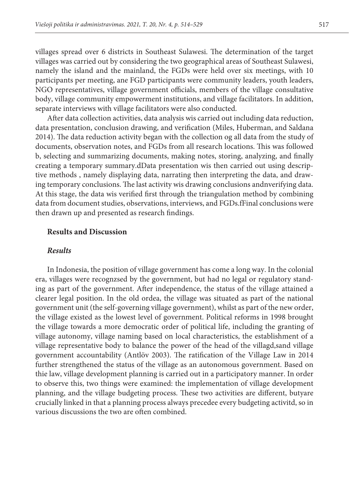villages spread over 6 districts in Southeast Sulawesi. The determination of the target villages was carried out by considering the two geographical areas of Southeast Sulawesi, namely the island and the mainland, the FGDs were held over six meetings, with 10 participants per meeting, ane FGD participants were community leaders, youth leaders, NGO representatives, village government officials, members of the village consultative body, village community empowerment institutions, and village facilitators. In addition, separate interviews with village facilitators were also conducted.

After data collection activities, data analysis wis carried out including data reduction, data presentation, conclusion drawing, and verification (Miles, Huberman, and Saldana 2014). The data reduction activity began with the collection og all data from the study of documents, observation notes, and FGDs from all research locations. This was followed b, selecting and summarizing documents, making notes, storing, analyzing, and finally creating a temporary summary.dData presentation wis then carried out using descriptive methods , namely displaying data, narrating then interpreting the data, and drawing temporary conclusions. The last activity wis drawing conclusions andnverifying data. At this stage, the data wis verified first through the triangulation method by combining data from document studies, observations, interviews, and FGDs.fFinal conclusions were then drawn up and presented as research findings.

#### **Results and Discussion**

#### *Results*

In Indonesia, the position of village government has come a long way. In the colonial era, villages were recognzsed by the government, but had no legal or regulatory standing as part of the government. After independence, the status of the village attained a clearer legal position. In the old ordea, the village was situated as part of the national government unit (the self-governing village government), whilst as part of the new order, the village existed as the lowest level of government. Political reforms in 1998 brought the village towards a more democratic order of political life, including the granting of village autonomy, village naming based on local characteristics, the establishment of a village representative body to balance the power of the head of the villagd,sand village government accountability (Antlöv 2003). The ratification of the Village Law in 2014 further strengthened the status of the village as an autonomous government. Based on thie law, village development planning is carried out in a participatory manner. In order to observe this, two things were examined: the implementation of village development planning, and the village budgeting process. These two activities are different, butyare crucially linked in that a planning process always precedee every budgeting activitd, so in various discussions the two are often combined.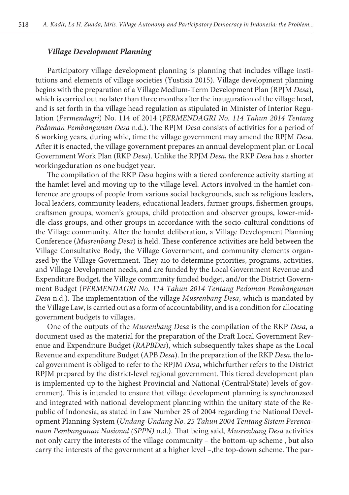#### *Village Development Planning*

Participatory village development planning is planning that includes village institutions and elements of village societies (Yustisia 2015). Village development planning begins with the preparation of a Village Medium-Term Development Plan (RPJM *Desa*), which is carried out no later than three months after the inauguration of the village head, and is set forth in tha village head regulation as stipulated in Minister of Interior Regulation (*Permendagri*) No. 114 of 2014 (*PERMENDAGRI No. 114 Tahun 2014 Tentang Pedoman Pembangunan Desa* n.d.). The RPJM *Desa* consists of activities for a period of 6 working years, during whic, time the village government may amend the RPJM *Desa*. After it is enacted, the village government prepares an annual development plan or Local Government Work Plan (RKP *Desa*). Unlike the RPJM *Desa*, the RKP *Desa* has a shorter workingeduration os one budget year.

The compilation of the RKP *Desa* begins with a tiered conference activity starting at the hamlet level and moving up to the village level. Actors involved in the hamlet conference are groups of people from various social backgrounds, such as religious leaders, local leaders, community leaders, educational leaders, farmer groups, fishermen groups, craftsmen groups, women's groups, child protection and observer groups, lower-middle-class groups, and other groups in accordance with the socio-cultural conditions of the Village community. After the hamlet deliberation, a Village Development Planning Conference (*Musrenbang Desa*) is held. These conference activities are held between the Village Consultative Body, the Village Government, and community elements organzsed by the Village Government. They aio to determine priorities, programs, activities, and Village Development needs, and are funded by the Local Government Revenue and Expenditure Budget, the Village community funded budget, and/or the District Government Budget (*PERMENDAGRI No. 114 Tahun 2014 Tentang Pedoman Pembangunan Desa* n.d.). The implementation of the village *Musrenbang Desa*, which is mandated by the Village Law, is carried out as a form of accountability, and is a condition for allocating government budgets to villages.

One of the outputs of the *Musrenbang Desa* is the compilation of the RKP *Desa*, a document used as the material for the preparation of the Draft Local Government Revenue and Expenditure Budget (*RAPBDes*), which subsequently takes shape as the Local Revenue and expenditure Budget (APB *Desa*). In the preparation of the RKP *Desa*, the local government is obliged to refer to the RPJM *Desa*, whichrfurther refers to the District RPJM prepared by the district-level regional government. This tiered development plan is implemented up to the highest Provincial and National (Central/State) levels of governmen). This is intended to ensure that village development planning is synchronzsed and integrated with national development planning within the unitary state of the Republic of Indonesia, as stated in Law Number 25 of 2004 regarding the National Development Planning System (*Undang-Undang No. 25 Tahun 2004 Tentang Sistem Perencanaan Pembangunan Nasional (SPPN)* n.d.). That being said, *Musrenbang Desa* activities not only carry the interests of the village community – the bottom-up scheme , but also carry the interests of the government at a higher level –,the top-down scheme. The par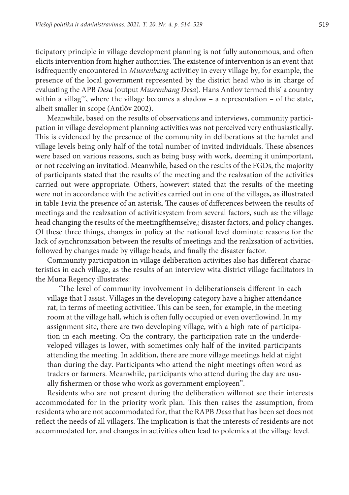ticipatory principle in village development planning is not fully autonomous, and often elicits intervention from higher authorities. The existence of intervention is an event that isdfrequently encountered in *Musrenbang* activitiey in every village by, for example, the presence of the local government represented by the district head who is in charge of evaluating the APB *Desa* (output *Musrenbang Desa*). Hans Antlov termed this' a country within a villag'", where the village becomes a shadow – a representation – of the state, albeit smaller in scope (Antlöv 2002).

Meanwhile, based on the results of observations and interviews, community participation in village development planning activities was not perceived very enthusiastically. This is evidenced by the presence of the community in deliberations at the hamlet and village levels being only half of the total number of invited individuals. These absences were based on various reasons, such as being busy with work, deeming it unimportant, or not receiving an invitatiod. Meanwhile, based on the results of the FGDs, the majority of participants stated that the results of the meeting and the realzsation of the activities carried out were appropriate. Others, howevert stated that the results of the meeting were not in accordance with the activities carried out in one of the villages, as illustrated in table 1evia the presence of an asterisk. The causes of differences between the results of meetings and the realzsation of activitiesystem from several factors, such as: the village head changing the results of the meetingfthemselve,; disaster factors, and policy changes. Of these three things, changes in policy at the national level dominate reasons for the lack of synchronzsation between the results of meetings and the realzsation of activities, followed by changes made by village heads, and finally the disaster factor.

Community participation in village deliberation activities also has different characteristics in each village, as the results of an interview wita district village facilitators in the Muna Regency illustrates:

"The level of community involvement in deliberationseis different in each village that I assist. Villages in the developing category have a higher attendance rat, in terms of meeting activitiee. This can be seen, for example, in the meeting room at the village hall, which is often fully occupied or even overflowind. In my assignment site, there are two developing village, with a high rate of participation in each meeting. On the contrary, the participation rate in the underdeveloped villages is lower, with sometimes only half of the invited participants attending the meeting. In addition, there are more village meetings held at night than during the day. Participants who attend the night meetings often word as traders or farmers. Meanwhile, participants who attend during the day are usually fishermen or those who work as government employeen".

Residents who are not present during the deliberation willnnot see their interests accommodated for in the priority work plan. This then raises the assumption, from residents who are not accommodated for, that the RAPB *Desa* that has been set does not reflect the needs of all villagers. The implication is that the interests of residents are not accommodated for, and changes in activities often lead to polemics at the village level.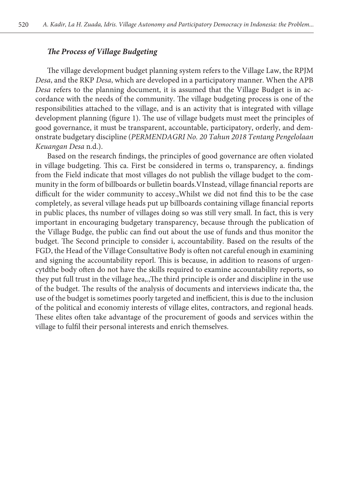#### *The Process of Village Budgeting*

The village development budget planning system refers to the Village Law, the RPJM *Desa*, and the RKP *Desa*, which are developed in a participatory manner. When the APB *Desa* refers to the planning document, it is assumed that the Village Budget is in accordance with the needs of the community. The village budgeting process is one of the responsibilities attached to the village, and is an activity that is integrated with village development planning (figure 1). The use of village budgets must meet the principles of good governance, it must be transparent, accountable, participatory, orderly, and demonstrate budgetary discipline (*PERMENDAGRI No. 20 Tahun 2018 Tentang Pengelolaan Keuangan Desa* n.d.).

Based on the research findings, the principles of good governance are often violated in village budgeting. This ca. First be considered in terms o, transparency, a. findings from the Field indicate that most villages do not publish the village budget to the community in the form of billboards or bulletin boards.VInstead, village financial reports are difficult for the wider community to accesy.,Whilst we did not find this to be the case completely, as several village heads put up billboards containing village financial reports in public places, ths number of villages doing so was still very small. In fact, this is very important in encouraging budgetary transparency, because through the publication of the Village Budge, the public can find out about the use of funds and thus monitor the budget. The Second principle to consider i, accountability. Based on the results of the FGD, the Head of the Village Consultative Body is often not careful enough in examining and signing the accountability reporl. This is because, in addition to reasons of urgencytdthe body often do not have the skills required to examine accountability reports, so they put full trust in the village hea,.,The third principle is order and discipline in the use of the budget. The results of the analysis of documents and interviews indicate tha, the use of the budget is sometimes poorly targeted and inefficient, this is due to the inclusion of the political and economiy interests of village elites, contractors, and regional heads. These elites often take advantage of the procurement of goods and services within the village to fulfil their personal interests and enrich themselves.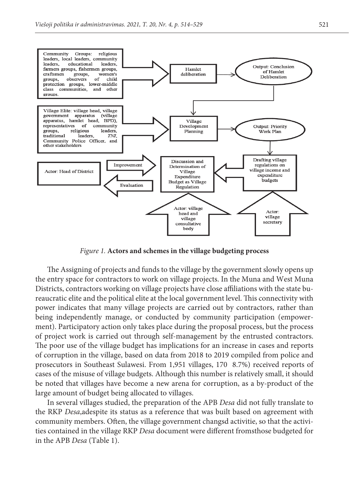

 $T<sub>g</sub>$  and  $T<sub>g</sub>$ , increased and benefites in the village budgeting process *Figure 1.* **Actors and schemes in the village budgeting process**

The Assigning of projects and funds to the village by the government slowly opens up Districts, contractors working on village projects have close affiliations with the state bupower indicates that many village projects are carried out by contractors, rather than ering interpendently manage, or contractors by contracting process, but the process ment). Participatory action only takes place during the proposal process, but the process of project work is carried out through self-management by the entrusted contractors.<br>The proposal of the pill on had the proplication for an increase in access a home other of corruption in the village, based on data from 2018 to 2019 compiled from police and cases of the misuse of village budgets. Although this number is relatively small, it should large amount of budget being allocated to villages. the entry space for contractors to work on village projects. In the Muna and West Muna reaucratic elite and the political elite at the local government level. This connectivity with being independently manage, or conducted by community participation (empower-The poor use of the village budget has implications for an increase in cases and reports prosecutors in Southeast Sulawesi. From 1,951 villages, 170 8.7%) received reports of be noted that villages have become a new arena for corruption, as a by-product of the

In several villages statuted, the preparation of the *KLB Desa* the not runy translate to<br>the RKP *Desa*,adespite its status as a reference that was built based on agreement with community members. Often, the village government changsd activitie, so that the activiin the APB *Desa* (Table 1). In several villages studied, the preparation of the APB *Desa* did not fully translate to ties contained in the village RKP *Desa* document were different fromsthose budgeted for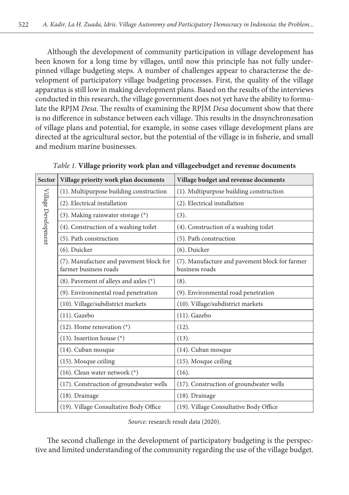Although the development of community participation in village development has been known for a long time by villages, until now this principle has not fully underpinned village budgeting steps. A number of challenges appear to characterzse the development of participatory village budgeting processes. First, the quality of the village apparatus is still low in making development plans. Based on the results of the interviews conducted in this research, the village government does not yet have the ability to formulate the RPJM *Desa*. The results of examining the RPJM *Desa* document show that there is no difference in substance between each village. This results in the dnsynchronzsation of village plans and potential, for example, in some cases village development plans are directed at the agricultural sector, but the potential of the village is in fisherie, and small and medium marine businesses.

| Sector              | Village priority work plan documents                             | Village budget and revenue documents                             |
|---------------------|------------------------------------------------------------------|------------------------------------------------------------------|
| Village Development | (1). Multipurpose building construction                          | (1). Multipurpose building construction                          |
|                     | (2). Electrical installation                                     | (2). Electrical installation                                     |
|                     | $(3)$ . Making rainwater storage $(*)$                           | (3).                                                             |
|                     | (4). Construction of a washing toilet                            | (4). Construction of a washing toilet                            |
|                     | (5). Path construction                                           | (5). Path construction                                           |
|                     | (6). Duicker                                                     | (6). Duicker                                                     |
|                     | (7). Manufacture and pavement block for<br>farmer business roads | (7). Manufacture and pavement block for farmer<br>business roads |
|                     | $(8)$ . Pavement of alleys and axles $(*)$                       | (8).                                                             |
|                     | (9). Environmental road penetration                              | (9). Environmental road penetration                              |
|                     | (10). Village/subdistrict markets                                | (10). Village/subdistrict markets                                |
|                     | $(11)$ . Gazebo                                                  | $(11)$ . Gazebo                                                  |
|                     | $(12)$ . Home renovation $(*)$                                   | (12).                                                            |
|                     | $(13)$ . Insertion house $(*)$                                   | (13).                                                            |
|                     | (14). Cuban mosque                                               | (14). Cuban mosque                                               |
|                     | (15). Mosque ceiling                                             | (15). Mosque ceiling                                             |
|                     | $(16)$ . Clean water network $(*)$                               | $(16)$ .                                                         |
|                     | (17). Construction of groundwater wells                          | (17). Construction of groundwater wells                          |
|                     | $(18)$ . Drainage                                                | $(18)$ . Drainage                                                |
|                     | (19). Village Consultative Body Office                           | (19). Village Consultative Body Office                           |

*Table 1.* **Village priority work plan and villageebudget and revenue documents**

*Source:* research result data (2020).

The second challenge in the development of participatory budgeting is the perspective and limited understanding of the community regarding the use of the village budget.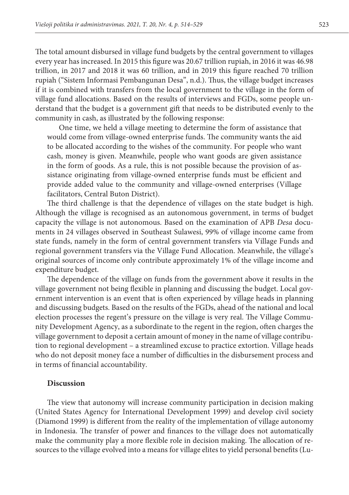The total amount disbursed in village fund budgets by the central government to villages every year has increased. In 2015 this figure was 20.67 trillion rupiah, in 2016 it was 46.98 trillion, in 2017 and 2018 it was 60 trillion, and in 2019 this figure reached 70 trillion rupiah ("Sistem Informasi Pembangunan Desa", n.d.). Thus, the village budget increases if it is combined with transfers from the local government to the village in the form of village fund allocations. Based on the results of interviews and FGDs, some people understand that the budget is a government gift that needs to be distributed evenly to the community in cash, as illustrated by the following response:

One time, we held a village meeting to determine the form of assistance that would come from village-owned enterprise funds. The community wants the aid to be allocated according to the wishes of the community. For people who want cash, money is given. Meanwhile, people who want goods are given assistance in the form of goods. As a rule, this is not possible because the provision of assistance originating from village-owned enterprise funds must be efficient and provide added value to the community and village-owned enterprises (Village facilitators, Central Buton District).

The third challenge is that the dependence of villages on the state budget is high. Although the village is recognised as an autonomous government, in terms of budget capacity the village is not autonomous. Based on the examination of APB *Desa* documents in 24 villages observed in Southeast Sulawesi, 99% of village income came from state funds, namely in the form of central government transfers via Village Funds and regional government transfers via the Village Fund Allocation. Meanwhile, the village's original sources of income only contribute approximately 1% of the village income and expenditure budget.

The dependence of the village on funds from the government above it results in the village government not being flexible in planning and discussing the budget. Local government intervention is an event that is often experienced by village heads in planning and discussing budgets. Based on the results of the FGDs, ahead of the national and local election processes the regent's pressure on the village is very real. The Village Community Development Agency, as a subordinate to the regent in the region, often charges the village government to deposit a certain amount of money in the name of village contribution to regional development – a streamlined excuse to practice extortion. Village heads who do not deposit money face a number of difficulties in the disbursement process and in terms of financial accountability.

#### **Discussion**

The view that autonomy will increase community participation in decision making (United States Agency for International Development 1999) and develop civil society (Diamond 1999) is different from the reality of the implementation of village autonomy in Indonesia. The transfer of power and finances to the village does not automatically make the community play a more flexible role in decision making. The allocation of resources to the village evolved into a means for village elites to yield personal benefits (Lu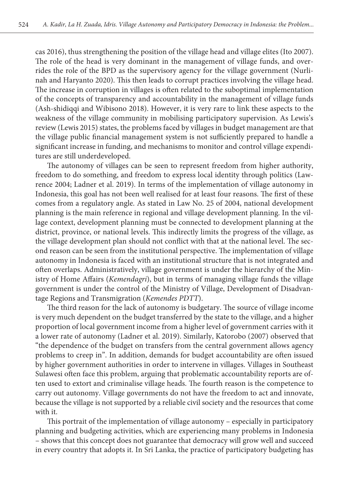cas 2016), thus strengthening the position of the village head and village elites (Ito 2007). The role of the head is very dominant in the management of village funds, and overrides the role of the BPD as the supervisory agency for the village government (Nurlinah and Haryanto 2020). This then leads to corrupt practices involving the village head. The increase in corruption in villages is often related to the suboptimal implementation of the concepts of transparency and accountability in the management of village funds (Ash-shidiqqi and Wibisono 2018). However, it is very rare to link these aspects to the weakness of the village community in mobilising participatory supervision. As Lewis's review (Lewis 2015) states, the problems faced by villages in budget management are that the village public financial management system is not sufficiently prepared to handle a significant increase in funding, and mechanisms to monitor and control village expenditures are still underdeveloped.

The autonomy of villages can be seen to represent freedom from higher authority, freedom to do something, and freedom to express local identity through politics (Lawrence 2004; Ladner et al. 2019). In terms of the implementation of village autonomy in Indonesia, this goal has not been well realised for at least four reasons. The first of these comes from a regulatory angle. As stated in Law No. 25 of 2004, national development planning is the main reference in regional and village development planning. In the village context, development planning must be connected to development planning at the district, province, or national levels. This indirectly limits the progress of the village, as the village development plan should not conflict with that at the national level. The second reason can be seen from the institutional perspective. The implementation of village autonomy in Indonesia is faced with an institutional structure that is not integrated and often overlaps. Administratively, village government is under the hierarchy of the Ministry of Home Affairs (*Kemendagri*), but in terms of managing village funds the village government is under the control of the Ministry of Village, Development of Disadvantage Regions and Transmigration (*Kemendes PDTT*).

The third reason for the lack of autonomy is budgetary. The source of village income is very much dependent on the budget transferred by the state to the village, and a higher proportion of local government income from a higher level of government carries with it a lower rate of autonomy (Ladner et al. 2019). Similarly, Katorobo (2007) observed that "the dependence of the budget on transfers from the central government allows agency problems to creep in". In addition, demands for budget accountability are often issued by higher government authorities in order to intervene in villages. Villages in Southeast Sulawesi often face this problem, arguing that problematic accountability reports are often used to extort and criminalise village heads. The fourth reason is the competence to carry out autonomy. Village governments do not have the freedom to act and innovate, because the village is not supported by a reliable civil society and the resources that come with it.

This portrait of the implementation of village autonomy – especially in participatory planning and budgeting activities, which are experiencing many problems in Indonesia – shows that this concept does not guarantee that democracy will grow well and succeed in every country that adopts it. In Sri Lanka, the practice of participatory budgeting has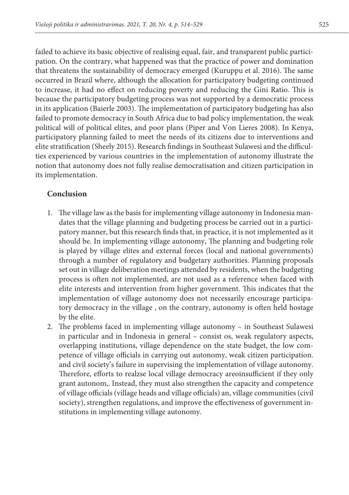failed to achieve its basic objective of realising equal, fair, and transparent public participation. On the contrary, what happened was that the practice of power and domination that threatens the sustainability of democracy emerged (Kuruppu et al. 2016). The same occurred in Brazil where, although the allocation for participatory budgeting continued to increase, it had no effect on reducing poverty and reducing the Gini Ratio. This is because the participatory budgeting process was not supported by a democratic process in its application (Baierle 2003). The implementation of participatory budgeting has also failed to promote democracy in South Africa due to bad policy implementation, the weak political will of political elites, and poor plans (Piper and Von Lieres 2008). In Kenya, participatory planning failed to meet the needs of its citizens due to interventions and elite stratification (Sheely 2015). Research findings in Southeast Sulawesi and the difficulties experienced by various countries in the implementation of autonomy illustrate the notion that autonomy does not fully realise democratisation and citizen participation in its implementation.

## **Conclusion**

- 1. The village law as the basis for implementing village autonomy in Indonesia mandates that the village planning and budgeting process be carried out in a participatory manner, but this research finds that, in practice, it is not implemented as it should be. In implementing village autonomy, The planning and budgeting role is played by village elites and external forces (local and national governments) through a number of regulatory and budgetary authorities. Planning proposals set out in village deliberation meetings attended by residents, when the budgeting process is often not implemented, are not used as a reference when faced with elite interests and intervention from higher government. This indicates that the implementation of village autonomy does not necessarily encourage participatory democracy in the village , on the contrary, autonomy is often held hostage by the elite.
- 2. The problems faced in implementing village autonomy in Southeast Sulawesi in particular and in Indonesia in general – consist os, weak regulatory aspects, overlapping institutions, village dependence on the state budget, the low competence of village officials in carrying out autonomy, weak citizen participation. and civil society's failure in supervising the implementation of village autonomy. Therefore, efforts to realzse local village democracy areoinsufficient if they only grant autonom,. Instead, they must also strengthen the capacity and competence of village officials (village heads and village officials) an, village communities (civil society), strengthen regulations, and improve the effectiveness of government institutions in implementing village autonomy.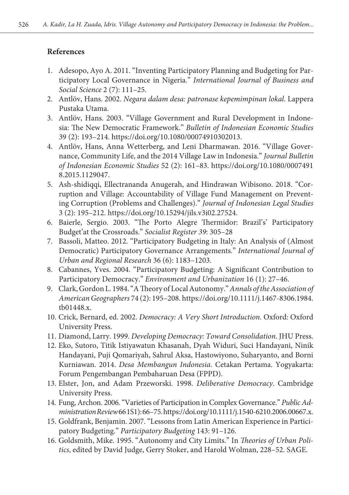## **References**

- 1. Adesopo, Ayo A. 2011. "Inventing Participatory Planning and Budgeting for Participatory Local Governance in Nigeria." *International Journal of Business and Social Science* 2 (7): 111–25.
- 2. Antlöv, Hans. 2002. *Negara dalam desa: patronase kepemimpinan lokal*. Lappera Pustaka Utama.
- 3. Antlöv, Hans. 2003. "Village Government and Rural Development in Indonesia: The New Democratic Framework." *Bulletin of Indonesian Economic Studies* 39 (2): 193–214. https://doi.org/10.1080/00074910302013.
- 4. Antlöv, Hans, Anna Wetterberg, and Leni Dharmawan. 2016. "Village Governance, Community Life, and the 2014 Village Law in Indonesia." *Journal Bulletin of Indonesian Economic Studies* 52 (2): 161–83. https://doi.org/10.1080/0007491 8.2015.1129047.
- 5. Ash-shidiqqi, Ellectrananda Anugerah, and Hindrawan Wibisono. 2018. "Corruption and Village: Accountability of Village Fund Management on Preventing Corruption (Problems and Challenges)." *Journal of Indonesian Legal Studies* 3 (2): 195–212. https://doi.org/10.15294/jils.v3i02.27524.
- 6. Baierle, Sergio. 2003. "The Porto Alegre Thermidor: Brazil's' Participatory Budget'at the Crossroads." *Socialist Register 39*: 305–28
- 7. Bassoli, Matteo. 2012. "Participatory Budgeting in Italy: An Analysis of (Almost Democratic) Participatory Governance Arrangements." *International Journal of Urban and Regional Research* 36 (6): 1183–1203.
- 8. Cabannes, Yves. 2004. "Participatory Budgeting: A Significant Contribution to Participatory Democracy." *Environment and Urbanization* 16 (1): 27–46.
- 9. Clark, Gordon L. 1984. "A Theory of Local Autonomy." *Annals of the Association of American Geographers* 74 (2): 195–208. https://doi.org/10.1111/j.1467-8306.1984. tb01448.x.
- 10. Crick, Bernard, ed. 2002. *Democracy: A Very Short Introduction*. Oxford: Oxford University Press.
- 11. Diamond, Larry. 1999. *Developing Democracy: Toward Consolidation*. JHU Press.
- 12. Eko, Sutoro, Titik Istiyawatun Khasanah, Dyah Widuri, Suci Handayani, Ninik Handayani, Puji Qomariyah, Sahrul Aksa, Hastowiyono, Suharyanto, and Borni Kurniawan. 2014. *Desa Membangun Indonesia*. Cetakan Pertama. Yogyakarta: Forum Pengembangan Pembaharuan Desa (FPPD).
- 13. Elster, Jon, and Adam Przeworski. 1998. *Deliberative Democracy*. Cambridge University Press.
- 14. Fung, Archon. 2006. "Varieties of Participation in Complex Governance." *Public Administration Review* 66 1S1): 66–75. https://doi.org/10.1111/j.1540-6210.2006.00667.x.
- 15. Goldfrank, Benjamin. 2007. "Lessons from Latin American Experience in Participatory Budgeting." *Participatory Budgeting* 143: 91–126.
- 16. Goldsmith, Mike. 1995. "Autonomy and City Limits." In *Theories of Urban Politics*, edited by David Judge, Gerry Stoker, and Harold Wolman, 228–52. SAGE.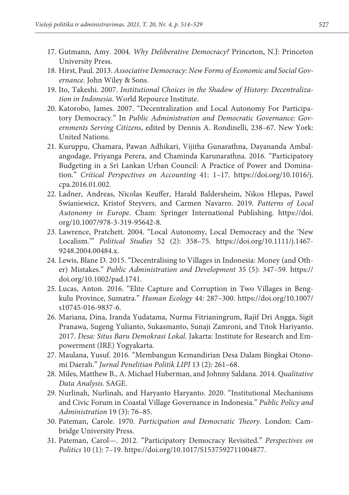- 17. Gutmann, Amy. 2004. *Why Deliberative Democracy?* Princeton, N.J: Princeton University Press.
- 18. Hirst, Paul. 2013. *Associative Democracy: New Forms of Economic and Social Governance*. John Wiley & Sons.
- 19. Ito, Takeshi. 2007. *Institutional Choices in the Shadow of History: Decentralization in Indonesia*. World Repource Institute.
- 20. Katorobo, James. 2007. "Decentralization and Local Autonomy For Participatory Democracy." In *Public Administration and Democratic Governance: Governments Serving Citizens*, edited by Dennis A. Rondinelli, 238–67. New York: United Nations.
- 21. Kuruppu, Chamara, Pawan Adhikari, Vijitha Gunarathna, Dayananda Ambalangodage, Priyanga Perera, and Chaminda Karunarathna. 2016. "Participatory Budgeting in a Sri Lankan Urban Council: A Practice of Power and Domination." *Critical Perspectives on Accounting* 41: 1–17. https://doi.org/10.1016/j. cpa.2016.01.002.
- 22. Ladner, Andreas, Nicolas Keuffer, Harald Baldersheim, Nikos Hlepas, Pawel Swianiewicz, Kristof Steyvers, and Carmen Navarro. 2019. *Patterns of Local Autonomy in Europe*. Cham: Springer International Publishing. https://doi. org/10.1007/978-3-319-95642-8.
- 23. Lawrence, Pratchett. 2004. "Local Autonomy, Local Democracy and the 'New Localism.'" *Political Studies* 52 (2): 358–75. https://doi.org/10.1111/j.1467- 9248.2004.00484.x.
- 24. Lewis, Blane D. 2015. "Decentralising to Villages in Indonesia: Money (and Other) Mistakes." *Public Administration and Development* 35 (5): 347–59. https:// doi.org/10.1002/pad.1741.
- 25. Lucas, Anton. 2016. "Elite Capture and Corruption in Two Villages in Bengkulu Province, Sumatra." *Human Ecology* 44: 287–300. https://doi.org/10.1007/ s10745-016-9837-6.
- 26. Mariana, Dina, Iranda Yudatama, Nurma Fitrianingrum, Rajif Dri Angga, Sigit Pranawa, Sugeng Yulianto, Sukasmanto, Sunaji Zamroni, and Titok Hariyanto. 2017. *Desa: Situs Baru Demokrasi Lokal*. Jakarta: Institute for Research and Empowerment (IRE) Yogyakarta.
- 27. Maulana, Yusuf. 2016. "Membangun Kemandirian Desa Dalam Bingkai Otonomi Daerah." *Jurnal Penelitian Politik LIPI* 13 (2): 261–68.
- 28. Miles, Matthew B., A. Michael Huberman, and Johnny Saldana. 2014. *Qualitative Data Analysis*. SAGE.
- 29. Nurlinah, Nurlinah, and Haryanto Haryanto. 2020. "Institutional Mechanisms and Civic Forum in Coastal Village Governance in Indonesia." *Public Policy and Administration* 19 (3): 76–85.
- 30. Pateman, Carole. 1970. *Participation and Democratic Theory*. London: Cambridge University Press.
- 31. Pateman, Carol—. 2012. "Participatory Democracy Revisited." *Perspectives on Politics* 10 (1): 7–19. https://doi.org/10.1017/S1537592711004877.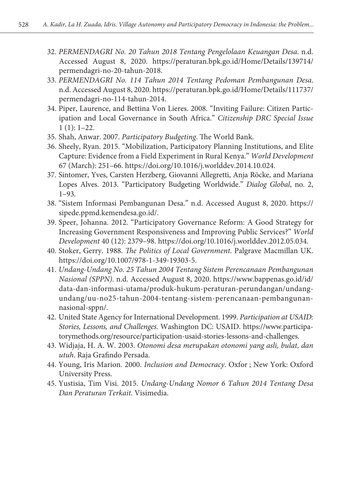- 32. *PERMENDAGRI No. 20 Tahun 2018 Tentang Pengelolaan Keuangan Desa*. n.d. Accessed August 8, 2020. https://peraturan.bpk.go.id/Home/Details/139714/ permendagri-no-20-tahun-2018.
- 33. *PERMENDAGRI No. 114 Tahun 2014 Tentang Pedoman Pembangunan Desa*. n.d. Accessed August 8, 2020. https://peraturan.bpk.go.id/Home/Details/111737/ permendagri-no-114-tahun-2014.
- 34. Piper, Laurence, and Bettina Von Lieres. 2008. "Inviting Failure: Citizen Participation and Local Governance in South Africa." *Citizenship DRC Special Issue*  $1(1): 1-22.$
- 35. Shah, Anwar. 2007. *Participatory Budgeting*. The World Bank.
- 36. Sheely, Ryan. 2015. "Mobilization, Participatory Planning Institutions, and Elite Capture: Evidence from a Field Experiment in Rural Kenya." *World Development* 67 (March): 251–66. https://doi.org/10.1016/j.worlddev.2014.10.024.
- 37. Sintomer, Yves, Carsten Herzberg, Giovanni Allegretti, Anja Röcke, and Mariana Lopes Alves. 2013. "Participatory Budgeting Worldwide." *Dialog Global*, no. 2, 1–93.
- 38. "Sistem Informasi Pembangunan Desa." n.d. Accessed August 8, 2020. https:// sipede.ppmd.kemendesa.go.id/.
- 39. Speer, Johanna. 2012. "Participatory Governance Reform: A Good Strategy for Increasing Government Responsiveness and Improving Public Services?" *World Development* 40 (12): 2379–98. https://doi.org/10.1016/j.worlddev.2012.05.034.
- 40. Stoker, Gerry. 1988. *The Politics of Local Government*. Palgrave Macmillan UK. https://doi.org/10.1007/978-1-349-19303-5.
- 41. *Undang-Undang No. 25 Tahun 2004 Tentang Sistem Perencanaan Pembangunan Nasional (SPPN)*. n.d. Accessed August 8, 2020. https://www.bappenas.go.id/id/ data-dan-informasi-utama/produk-hukum-peraturan-perundangan/undangundang/uu-no25-tahun-2004-tentang-sistem-perencanaan-pembangunannasional-sppn/.
- 42. United State Agency for International Development. 1999. *Participation at USAID: Stories, Lessons, and Challenges*. Washington DC: USAID. https://www.participatorymethods.org/resource/participation-usaid-stories-lessons-and-challenges.
- 43. Widjaja, H. A. W. 2003. *Otonomi desa merupakan otonomi yang asli, bulat, dan utuh*. Raja Grafindo Persada.
- 44. Young, Iris Marion. 2000. *Inclusion and Democracy*. Oxfor ; New York: Oxford University Press.
- 45. Yustisia, Tim Visi. 2015. *Undang-Undang Nomor 6 Tahun 2014 Tentang Desa Dan Peraturan Terkait*. Visimedia.